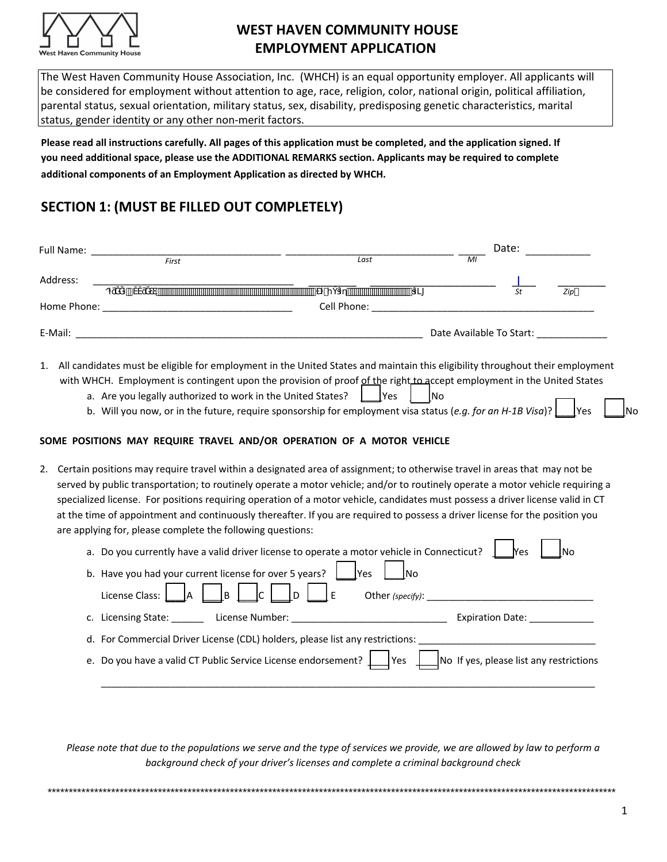

The West Haven Community House Association, Inc. (WHCH) is an equal opportunity employer. All applicants will be considered for employment without attention to age, race, religion, color, national origin, political affiliation, parental status, sexual orientation, military status, sex, disability, predisposing genetic characteristics, marital status, gender identity or any other non-merit factors.

**Please read all instructions carefully. All pages of this application must be completed, and the application signed. If you need additional space, please use the ADDITIONAL REMARKS section. Applicants may be required to complete additional components of an Employment Application as directed by WHCH.** 

## **SECTION 1: (MUST BE FILLED OUT COMPLETELY)**

| Full Name:  |              |       |                   |                          | Date: |     |  |
|-------------|--------------|-------|-------------------|--------------------------|-------|-----|--|
|             |              | First | Last              | MI                       |       |     |  |
| Address:    |              |       |                   |                          |       |     |  |
|             | $\cdot$<br>0 |       | <br>$\mathcal{L}$ |                          | St    | Zip |  |
| Home Phone: |              |       | Cell Phone:       |                          |       |     |  |
| E-Mail:     |              |       |                   | Date Available To Start: |       |     |  |
|             |              |       |                   |                          |       |     |  |

- 1. All candidates must be eligible for employment in the United States and maintain this eligibility throughout their employment with WHCH. Employment is contingent upon the provision of proof of the right to accept employment in the United States
	- a. Are you legally authorized to work in the United States?  $\begin{vmatrix} \n\end{vmatrix}$  Yes  $\begin{vmatrix} \n\end{vmatrix}$  No
	- b. Will you now, or in the future, require sponsorship for employment visa status (*e.g. for an H-1B Visa*)?  $\Box$  Yes  $\Box$  No

#### **SOME POSITIONS MAY REQUIRE TRAVEL AND/OR OPERATION OF A MOTOR VEHICLE**

2. Certain positions may require travel within a designated area of assignment; to otherwise travel in areas that may not be served by public transportation; to routinely operate a motor vehicle; and/or to routinely operate a motor vehicle requiring a specialized license. For positions requiring operation of a motor vehicle, candidates must possess a driver license valid in CT at the time of appointment and continuously thereafter. If you are required to possess a driver license for the position you are applying for, please complete the following questions:

| a. Do you currently have a valid driver license to operate a motor vehicle in Connecticut?<br>Yes                                                                                                                                                                                                                    |
|----------------------------------------------------------------------------------------------------------------------------------------------------------------------------------------------------------------------------------------------------------------------------------------------------------------------|
| b. Have you had your current license for over 5 years? $\begin{vmatrix} \cdot & \cdot & \cdot \\ \cdot & \cdot & \cdot \\ \cdot & \cdot & \cdot \end{vmatrix}$ No<br>License Class: $\begin{vmatrix} A & B & C \end{vmatrix}$ $\begin{vmatrix} C & D \end{vmatrix}$ $\begin{vmatrix} E & O \end{vmatrix}$ (specify): |
| c. Licensing State: License Number: Calculation of the Calculation of the Calculation of the Calculation of the C<br>Expiration Date:                                                                                                                                                                                |
| d. For Commercial Driver License (CDL) holders, please list any restrictions:                                                                                                                                                                                                                                        |
| e. Do you have a valid CT Public Service License endorsement? $\Box$ Yes $\Box$ No If yes, please list any restrictions                                                                                                                                                                                              |

*Please note that due to the populations we serve and the type of services we provide, we are allowed by law to perform a background check of your driver's licenses and complete a criminal background check*

\*\*\*\*\*\*\*\*\*\*\*\*\*\*\*\*\*\*\*\*\*\*\*\*\*\*\*\*\*\*\*\*\*\*\*\*\*\*\*\*\*\*\*\*\*\*\*\*\*\*\*\*\*\*\*\*\*\*\*\*\*\*\*\*\*\*\*\*\*\*\*\*\*\*\*\*\*\*\*\*\*\*\*\*\*\*\*\*\*\*\*\*\*\*\*\*\*\*\*\*\*\*\*\*\*\*\*\*\*\*\*\*\*\*\*\*\*\*\*\*\*\*\*\*\*\*\*\*\*\*\*\*\*\*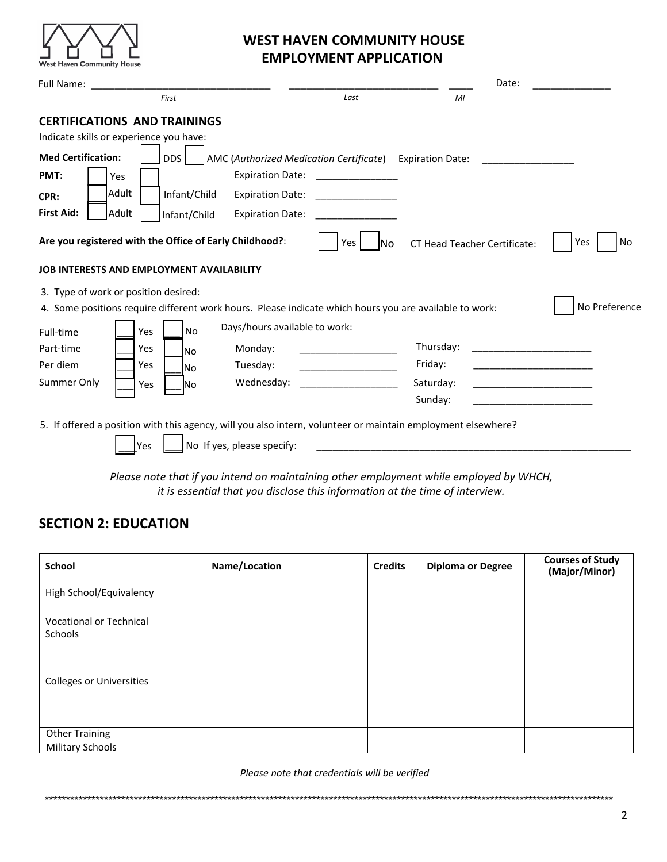

|                                                                                |       |                  |                                                                                                              |                          |                                     | Date: |               |
|--------------------------------------------------------------------------------|-------|------------------|--------------------------------------------------------------------------------------------------------------|--------------------------|-------------------------------------|-------|---------------|
|                                                                                |       | First            |                                                                                                              | Last                     | MI                                  |       |               |
| <b>CERTIFICATIONS AND TRAININGS</b><br>Indicate skills or experience you have: |       |                  |                                                                                                              |                          |                                     |       |               |
| <b>Med Certification:</b>                                                      |       | DDS.             | AMC (Authorized Medication Certificate) Expiration Date:                                                     |                          |                                     |       |               |
| PMT:                                                                           | Yes   |                  | <b>Expiration Date:</b>                                                                                      |                          |                                     |       |               |
| CPR:                                                                           | Adult | Infant/Child     | <b>Expiration Date:</b>                                                                                      |                          |                                     |       |               |
| <b>First Aid:</b>                                                              | Adult | Infant/Child     | <b>Expiration Date:</b>                                                                                      |                          |                                     |       |               |
|                                                                                |       |                  | Are you registered with the Office of Early Childhood?:                                                      | Yes<br>lNo               | <b>CT Head Teacher Certificate:</b> |       | Yes<br>No     |
| <b>JOB INTERESTS AND EMPLOYMENT AVAILABILITY</b>                               |       |                  |                                                                                                              |                          |                                     |       |               |
| 3. Type of work or position desired:                                           |       |                  | 4. Some positions require different work hours. Please indicate which hours you are available to work:       |                          |                                     |       | No Preference |
| Full-time                                                                      |       | <b>No</b><br>Yes | Days/hours available to work:                                                                                |                          |                                     |       |               |
| Part-time                                                                      |       | Yes<br>lNo.      | Monday:                                                                                                      | $\overline{\phantom{a}}$ | Thursday:                           |       |               |
| Per diem                                                                       |       | Yes<br><b>No</b> | Tuesday:                                                                                                     |                          | Friday:                             |       |               |
| Summer Only                                                                    |       | <b>No</b><br>Yes | Wednesday:                                                                                                   |                          | Saturday:                           |       |               |
|                                                                                |       |                  |                                                                                                              |                          | Sunday:                             |       |               |
|                                                                                |       |                  | 5. If offered a position with this agency, will you also intern, volunteer or maintain employment elsewhere? |                          |                                     |       |               |
|                                                                                | Yes   |                  | No If yes, please specify:                                                                                   |                          |                                     |       |               |
|                                                                                |       |                  |                                                                                                              |                          |                                     |       |               |

*Please note that if you intend on maintaining other employment while employed by WHCH, it is essential that you disclose this information at the time of interview.* 

# **SECTION 2: EDUCATION**

| <b>School</b>                                    | Name/Location | <b>Credits</b> | <b>Diploma or Degree</b> | <b>Courses of Study</b><br>(Major/Minor) |
|--------------------------------------------------|---------------|----------------|--------------------------|------------------------------------------|
| High School/Equivalency                          |               |                |                          |                                          |
| <b>Vocational or Technical</b><br>Schools        |               |                |                          |                                          |
| <b>Colleges or Universities</b>                  |               |                |                          |                                          |
|                                                  |               |                |                          |                                          |
| <b>Other Training</b><br><b>Military Schools</b> |               |                |                          |                                          |

*Please note that credentials will be verified*

\*\*\*\*\*\*\*\*\*\*\*\*\*\*\*\*\*\*\*\*\*\*\*\*\*\*\*\*\*\*\*\*\*\*\*\*\*\*\*\*\*\*\*\*\*\*\*\*\*\*\*\*\*\*\*\*\*\*\*\*\*\*\*\*\*\*\*\*\*\*\*\*\*\*\*\*\*\*\*\*\*\*\*\*\*\*\*\*\*\*\*\*\*\*\*\*\*\*\*\*\*\*\*\*\*\*\*\*\*\*\*\*\*\*\*\*\*\*\*\*\*\*\*\*\*\*\*\*\*\*\*\*\*\*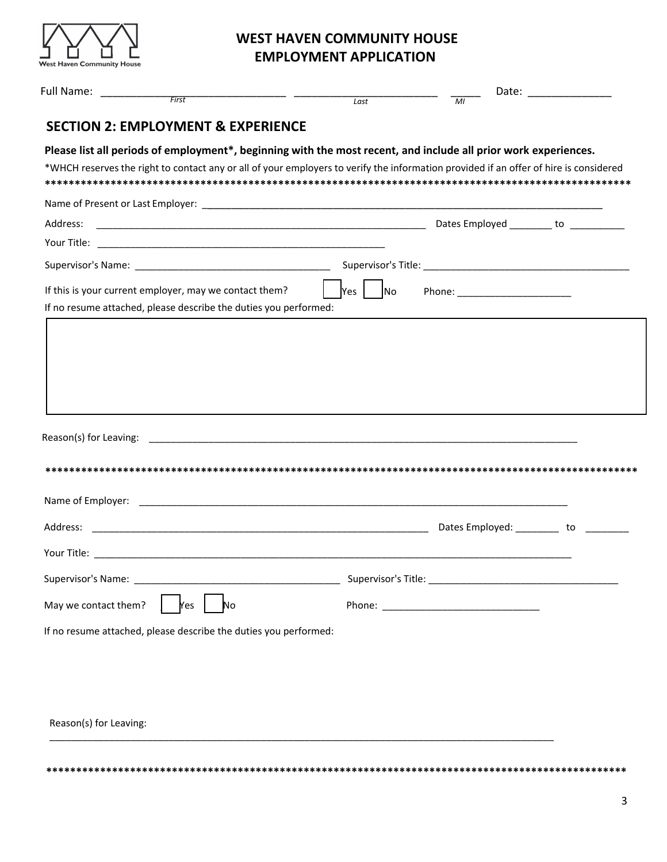

|                                                                                                                                                                                                                                                          | $\overline{Last}$ | $\overline{M}$                  | Date: _______________ |
|----------------------------------------------------------------------------------------------------------------------------------------------------------------------------------------------------------------------------------------------------------|-------------------|---------------------------------|-----------------------|
| <b>SECTION 2: EMPLOYMENT &amp; EXPERIENCE</b>                                                                                                                                                                                                            |                   |                                 |                       |
| Please list all periods of employment*, beginning with the most recent, and include all prior work experiences.<br>*WHCH reserves the right to contact any or all of your employers to verify the information provided if an offer of hire is considered |                   |                                 |                       |
|                                                                                                                                                                                                                                                          |                   |                                 |                       |
| Address:                                                                                                                                                                                                                                                 |                   |                                 |                       |
|                                                                                                                                                                                                                                                          |                   |                                 |                       |
|                                                                                                                                                                                                                                                          |                   |                                 |                       |
| If this is your current employer, may we contact them?<br>If no resume attached, please describe the duties you performed:                                                                                                                               | Yes    No         | Phone: ________________________ |                       |
|                                                                                                                                                                                                                                                          |                   |                                 |                       |
|                                                                                                                                                                                                                                                          |                   |                                 |                       |
|                                                                                                                                                                                                                                                          |                   |                                 |                       |
|                                                                                                                                                                                                                                                          |                   |                                 |                       |
|                                                                                                                                                                                                                                                          |                   |                                 |                       |
|                                                                                                                                                                                                                                                          |                   |                                 |                       |
|                                                                                                                                                                                                                                                          |                   |                                 |                       |
|                                                                                                                                                                                                                                                          |                   |                                 |                       |
|                                                                                                                                                                                                                                                          |                   |                                 |                       |
|                                                                                                                                                                                                                                                          |                   |                                 |                       |
|                                                                                                                                                                                                                                                          |                   |                                 |                       |
| Supervisor's Name:                                                                                                                                                                                                                                       |                   |                                 |                       |
| May we contact them?<br>No<br>Yes                                                                                                                                                                                                                        |                   |                                 |                       |
| If no resume attached, please describe the duties you performed:                                                                                                                                                                                         |                   |                                 |                       |
|                                                                                                                                                                                                                                                          |                   |                                 |                       |
|                                                                                                                                                                                                                                                          |                   |                                 |                       |
|                                                                                                                                                                                                                                                          |                   |                                 |                       |

**\*\*\*\*\*\*\*\*\*\*\*\*\*\*\*\*\*\*\*\*\*\*\*\*\*\*\*\*\*\*\*\*\*\*\*\*\*\*\*\*\*\*\*\*\*\*\*\*\*\*\*\*\*\*\*\*\*\*\*\*\*\*\*\*\*\*\*\*\*\*\*\*\*\*\*\*\*\*\*\*\*\*\*\*\*\*\*\*\*\*\*\*\*\*\*\*\***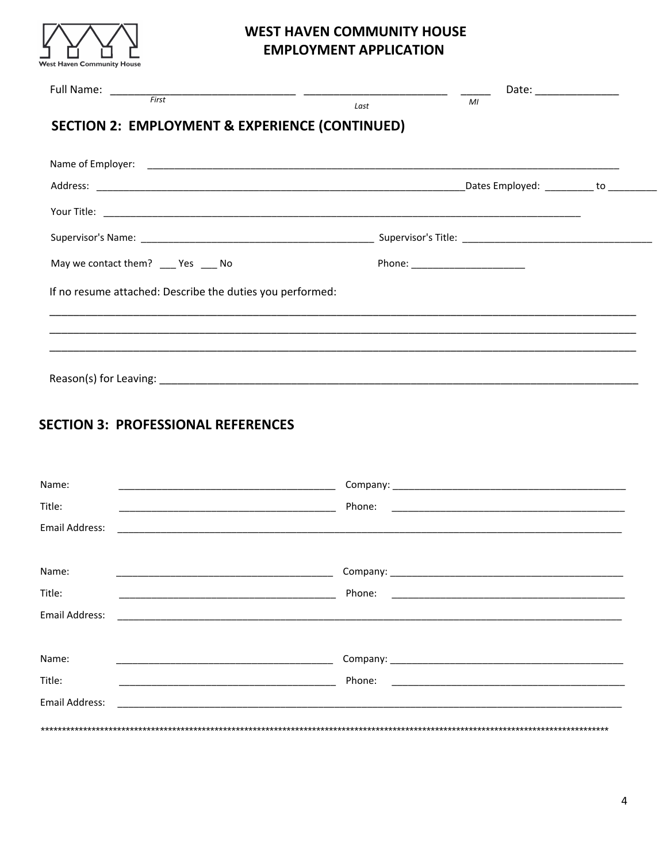

|                                                                                   | Last                             | Date: _________________<br>MI            |  |
|-----------------------------------------------------------------------------------|----------------------------------|------------------------------------------|--|
| <b>SECTION 2: EMPLOYMENT &amp; EXPERIENCE (CONTINUED)</b>                         |                                  |                                          |  |
|                                                                                   |                                  |                                          |  |
|                                                                                   |                                  | _Dates Employed: __________ to _________ |  |
|                                                                                   |                                  |                                          |  |
|                                                                                   |                                  |                                          |  |
| May we contact them? ____ Yes ____ No                                             | Phone: _________________________ |                                          |  |
| If no resume attached: Describe the duties you performed:                         |                                  |                                          |  |
| ,我们也不能在这里的,我们也不能在这里的时候,我们也不能不能不能不能不能不能不能不能不能不能不能不能不能不能不能。""我们,我们也不能不能不能不能不能不能不能不能 |                                  |                                          |  |
| <u>,这就是这个人的人,我们就是这个人的人,我们就是这个人的人,我们就是这个人的人,我们就是这个人的人,我们就是这个人的人,我们就是这个人的人,我们就是</u> |                                  |                                          |  |
|                                                                                   |                                  |                                          |  |

# **SECTION 3: PROFESSIONAL REFERENCES**

| Name:<br><u> 1989 - Andrea Stadt Britain, amerikansk politiker (d. 1989)</u> |        |
|------------------------------------------------------------------------------|--------|
| Title:                                                                       | Phone: |
| Email Address:                                                               |        |
|                                                                              |        |
| Name:                                                                        |        |
| Title:                                                                       | Phone: |
| Email Address:                                                               |        |
|                                                                              |        |
| Name:                                                                        |        |
| Title:                                                                       | Phone: |
| Email Address:                                                               |        |
|                                                                              |        |